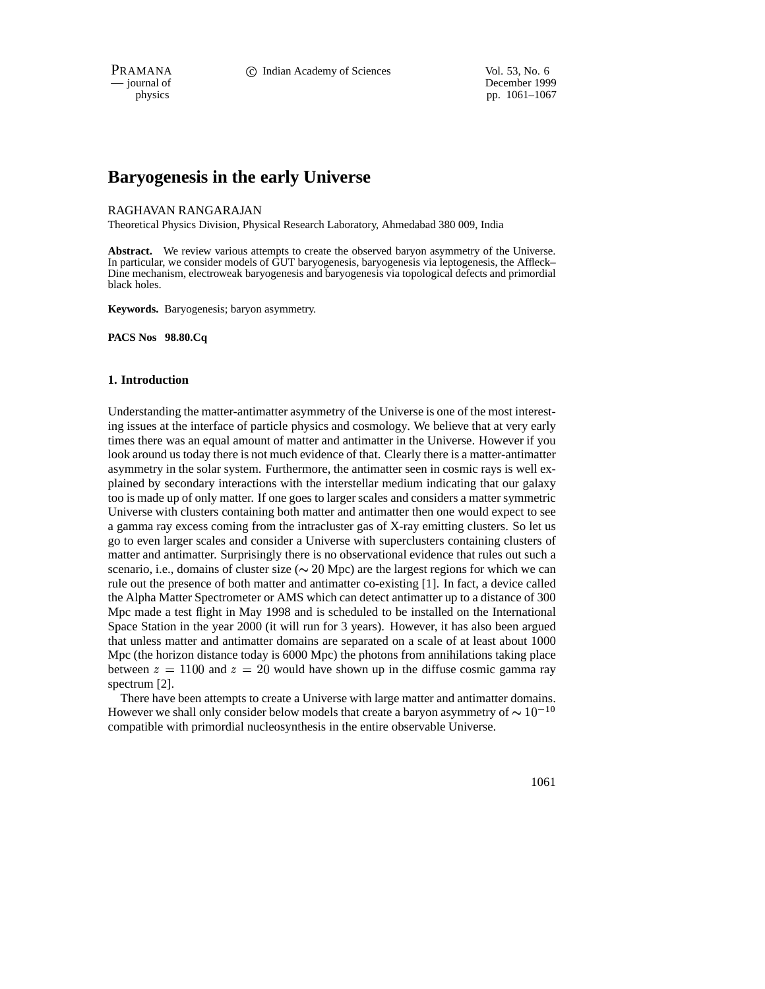PRAMANA **C** Indian Academy of Sciences Vol. 53, No. 6

— journal of December 1999 physics pp. 1061–1067

# **Baryogenesis in the early Universe**

## RAGHAVAN RANGARAJAN

Theoretical Physics Division, Physical Research Laboratory, Ahmedabad 380 009, India

Abstract. We review various attempts to create the observed baryon asymmetry of the Universe. In particular, we consider models of GUT baryogenesis, baryogenesis via leptogenesis, the Affleck– Dine mechanism, electroweak baryogenesis and baryogenesis via topological defects and primordial black holes.

**Keywords.** Baryogenesis; baryon asymmetry.

**PACS Nos 98.80.Cq**

# **1. Introduction**

Understanding the matter-antimatter asymmetry of the Universe is one of the most interesting issues at the interface of particle physics and cosmology. We believe that at very early times there was an equal amount of matter and antimatter in the Universe. However if you look around us today there is not much evidence of that. Clearly there is a matter-antimatter asymmetry in the solar system. Furthermore, the antimatter seen in cosmic rays is well explained by secondary interactions with the interstellar medium indicating that our galaxy too is made up of only matter. If one goes to larger scales and considers a matter symmetric Universe with clusters containing both matter and antimatter then one would expect to see a gamma ray excess coming from the intracluster gas of X-ray emitting clusters. So let us go to even larger scales and consider a Universe with superclusters containing clusters of matter and antimatter. Surprisingly there is no observational evidence that rules out such a scenario, i.e., domains of cluster size ( $\sim 20$  Mpc) are the largest regions for which we can rule out the presence of both matter and antimatter co-existing [1]. In fact, a device called the Alpha Matter Spectrometer or AMS which can detect antimatter up to a distance of 300 Mpc made a test flight in May 1998 and is scheduled to be installed on the International Space Station in the year 2000 (it will run for 3 years). However, it has also been argued that unless matter and antimatter domains are separated on a scale of at least about 1000 Mpc (the horizon distance today is 6000 Mpc) the photons from annihilations taking place between  $z = 1100$  and  $z = 20$  would have shown up in the diffuse cosmic gamma ray spectrum [2].

There have been attempts to create a Universe with large matter and antimatter domains. However we shall only consider below models that create a baryon asymmetry of  $\sim 10^{-10}$ compatible with primordial nucleosynthesis in the entire observable Universe.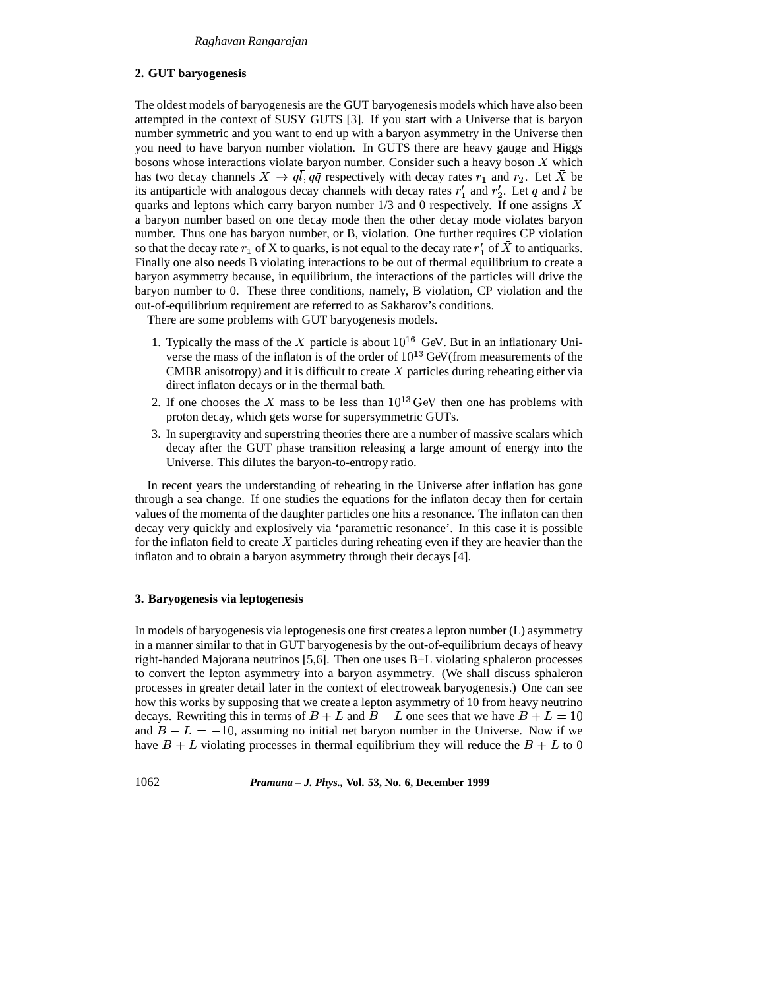# **2. GUT baryogenesis**

The oldest models of baryogenesis are the GUT baryogenesis models which have also been attempted in the context of SUSY GUTS [3]. If you start with a Universe that is baryon number symmetric and you want to end up with a baryon asymmetry in the Universe then you need to have baryon number violation. In GUTS there are heavy gauge and Higgs bosons whose interactions violate baryon number. Consider such a heavy boson  $X$  which has two decay channels  $X \to ql, q\bar{q}$  respectively with decay rates  $r_1$  and  $r_2$ . Let X be its antiparticle with analogous decay channels with decay rates  $r'_1$  and  $r'_2$ . Let q and l be quarks and leptons which carry baryon number  $1/3$  and 0 respectively. If one assigns X a baryon number based on one decay mode then the other decay mode violates baryon number. Thus one has baryon number, or B, violation. One further requires CP violation so that the decay rate  $r_1$  of X to quarks, is not equal to the decay rate  $r'_1$  of X to antiquarks. Finally one also needs B violating interactions to be out of thermal equilibrium to create a baryon asymmetry because, in equilibrium, the interactions of the particles will drive the baryon number to 0. These three conditions, namely, B violation, CP violation and the out-of-equilibrium requirement are referred to as Sakharov's conditions.

There are some problems with GUT baryogenesis models.

- 1. Typically the mass of the X particle is about  $10^{16}$  GeV. But in an inflationary Universe the mass of the inflaton is of the order of  $10^{13}$  GeV(from measurements of the CMBR anisotropy) and it is difficult to create  $X$  particles during reheating either via direct inflaton decays or in the thermal bath.
- 2. If one chooses the X mass to be less than  $10^{13}$  GeV then one has problems with proton decay, which gets worse for supersymmetric GUTs.
- 3. In supergravity and superstring theories there are a number of massive scalars which decay after the GUT phase transition releasing a large amount of energy into the Universe. This dilutes the baryon-to-entropy ratio.

In recent years the understanding of reheating in the Universe after inflation has gone through a sea change. If one studies the equations for the inflaton decay then for certain values of the momenta of the daughter particles one hits a resonance. The inflaton can then decay very quickly and explosively via 'parametric resonance'. In this case it is possible for the inflaton field to create  $X$  particles during reheating even if they are heavier than the inflaton and to obtain a baryon asymmetry through their decays [4].

### **3. Baryogenesis via leptogenesis**

In models of baryogenesis via leptogenesis one first creates a lepton number (L) asymmetry in a manner similar to that in GUT baryogenesis by the out-of-equilibrium decays of heavy right-handed Majorana neutrinos [5,6]. Then one uses B+L violating sphaleron processes to convert the lepton asymmetry into a baryon asymmetry. (We shall discuss sphaleron processes in greater detail later in the context of electroweak baryogenesis.) One can see how this works by supposing that we create a lepton asymmetry of 10 from heavy neutrino decays. Rewriting this in terms of  $B + L$  and  $B - L$  one sees that we have  $B + L = 10$ and  $B - L = -10$ , assuming no initial net baryon number in the Universe. Now if we have  $B + L$  violating processes in thermal equilibrium they will reduce the  $B + L$  to 0

1062 *Pramana – J. Phys.,* **Vol. 53, No. 6, December 1999**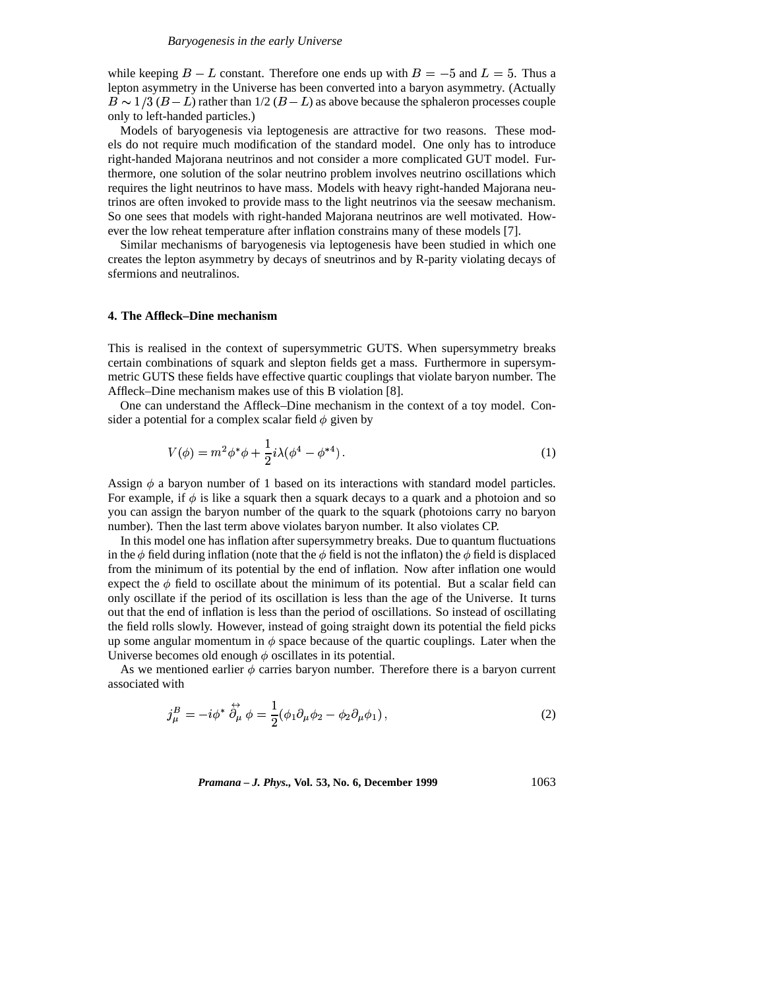while keeping  $B - L$  constant. Therefore one ends up with  $B = -5$  and  $L = 5$ . Thus a lepton asymmetry in the Universe has been converted into a baryon asymmetry. (Actually  $B \sim 1/3 (B - L)$  rather than  $1/2 (B - L)$  as above because the sphaleron processes couple only to left-handed particles.)

Models of baryogenesis via leptogenesis are attractive for two reasons. These models do not require much modification of the standard model. One only has to introduce right-handed Majorana neutrinos and not consider a more complicated GUT model. Furthermore, one solution of the solar neutrino problem involves neutrino oscillations which requires the light neutrinos to have mass. Models with heavy right-handed Majorana neutrinos are often invoked to provide mass to the light neutrinos via the seesaw mechanism. So one sees that models with right-handed Majorana neutrinos are well motivated. However the low reheat temperature after inflation constrains many of these models [7].

Similar mechanisms of baryogenesis via leptogenesis have been studied in which one creates the lepton asymmetry by decays of sneutrinos and by R-parity violating decays of sfermions and neutralinos.

#### **4. The Affleck–Dine mechanism**

This is realised in the context of supersymmetric GUTS. When supersymmetry breaks certain combinations of squark and slepton fields get a mass. Furthermore in supersymmetric GUTS these fields have effective quartic couplings that violate baryon number. The Affleck–Dine mechanism makes use of this B violation [8].

One can understand the Affleck–Dine mechanism in the context of a toy model. Consider a potential for a complex scalar field  $\phi$  given by

$$
V(\phi) = m^2 \phi^* \phi + \frac{1}{2} i \lambda (\phi^4 - \phi^{*4}).
$$
 (1)

Assign  $\phi$  a baryon number of 1 based on its interactions with standard model particles. For example, if  $\phi$  is like a squark then a squark decays to a quark and a photoion and so you can assign the baryon number of the quark to the squark (photoions carry no baryon number). Then the last term above violates baryon number. It also violates CP.

In this model one has inflation after supersymmetry breaks. Due to quantum fluctuations in the  $\phi$  field during inflation (note that the  $\phi$  field is not the inflaton) the  $\phi$  field is displaced from the minimum of its potential by the end of inflation. Now after inflation one would expect the  $\phi$  field to oscillate about the minimum of its potential. But a scalar field can only oscillate if the period of its oscillation is less than the age of the Universe. It turns out that the end of inflation is less than the period of oscillations. So instead of oscillating the field rolls slowly. However, instead of going straight down its potential the field picks up some angular momentum in  $\phi$  space because of the quartic couplings. Later when the Universe becomes old enough  $\phi$  oscillates in its potential.

As we mentioned earlier  $\phi$  carries baryon number. Therefore there is a baryon current associated with

$$
j_{\mu}^{B} = -i\phi^{*} \stackrel{\leftrightarrow}{\partial_{\mu}} \phi = \frac{1}{2} (\phi_{1} \partial_{\mu} \phi_{2} - \phi_{2} \partial_{\mu} \phi_{1}), \qquad (2)
$$

*Pramana – J. Phys.,* **Vol. 53, No. 6, December 1999** 1063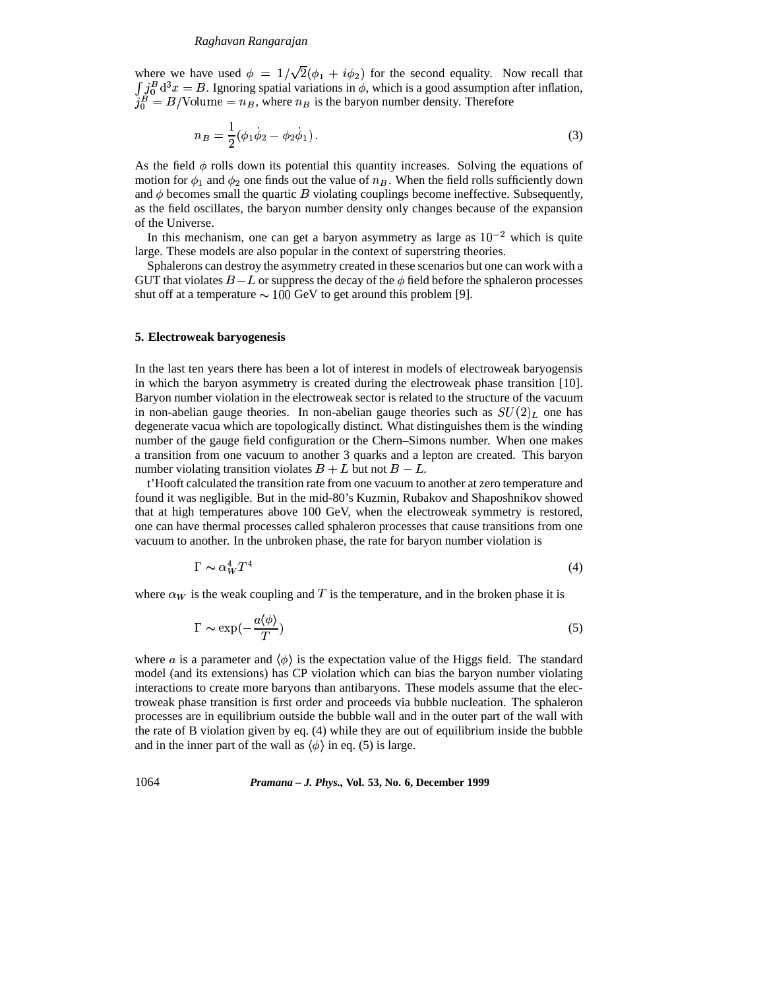## *Raghavan Rangarajan*

where we have used  $\phi = 1/\sqrt{2(\phi_1 + i \phi_2)}$  for the second equality. Now recall that  $\int_A j_0^B d^3x = B$ . Ignoring spatial variations in  $\phi$ , which is a good assumption after inflation,  $j_0^B = B/\text{Volume} = n_B$ , where  $n_B$  is the baryon number density. Therefore

$$
n_B = \frac{1}{2}(\phi_1 \dot{\phi}_2 - \phi_2 \dot{\phi}_1).
$$
 (3)

As the field  $\phi$  rolls down its potential this quantity increases. Solving the equations of motion for  $\phi_1$  and  $\phi_2$  one finds out the value of  $n_B$ . When the field rolls sufficiently down and  $\phi$  becomes small the quartic  $B$  violating couplings become ineffective. Subsequently, as the field oscillates, the baryon number density only changes because of the expansion of the Universe.

In this mechanism, one can get a baryon asymmetry as large as  $10^{-2}$  which is quite large. These models are also popular in the context of superstring theories.

Sphalerons can destroy the asymmetry created in these scenarios but one can work with a GUT that violates  $B-L$  or suppress the decay of the  $\phi$  field before the sphaleron processes shut off at a temperature  $\sim 100$  GeV to get around this problem [9].

#### **5. Electroweak baryogenesis**

In the last ten years there has been a lot of interest in models of electroweak baryogensis in which the baryon asymmetry is created during the electroweak phase transition [10]. Baryon number violation in the electroweak sector is related to the structure of the vacuum in non-abelian gauge theories. In non-abelian gauge theories such as  $SU(2)_L$  one has degenerate vacua which are topologically distinct. What distinguishes them is the winding number of the gauge field configuration or the Chern–Simons number. When one makes a transition from one vacuum to another 3 quarks and a lepton are created. This baryon number violating transition violates  $B + L$  but not  $B - L$ .

t'Hooft calculated the transition rate from one vacuum to another at zero temperature and found it was negligible. But in the mid-80's Kuzmin, Rubakov and Shaposhnikov showed that at high temperatures above 100 GeV, when the electroweak symmetry is restored, one can have thermal processes called sphaleron processes that cause transitions from one vacuum to another. In the unbroken phase, the rate for baryon number violation is

$$
\Gamma \sim \alpha_W^4 T^4 \tag{4}
$$

where  $\alpha_W$  is the weak coupling and T is the temperature, and in the broken phase it is

$$
\Gamma \sim \exp(-\frac{a\langle \phi \rangle}{T})
$$
\n(5)

where a is a parameter and  $\langle \phi \rangle$  is the expectation value of the Higgs field. The standard model (and its extensions) has CP violation which can bias the baryon number violating interactions to create more baryons than antibaryons. These models assume that the electroweak phase transition is first order and proceeds via bubble nucleation. The sphaleron processes are in equilibrium outside the bubble wall and in the outer part of the wall with the rate of B violation given by eq. (4) while they are out of equilibrium inside the bubble and in the inner part of the wall as  $\langle \phi \rangle$  in eq. (5) is large.

1064 *Pramana – J. Phys.,* **Vol. 53, No. 6, December 1999**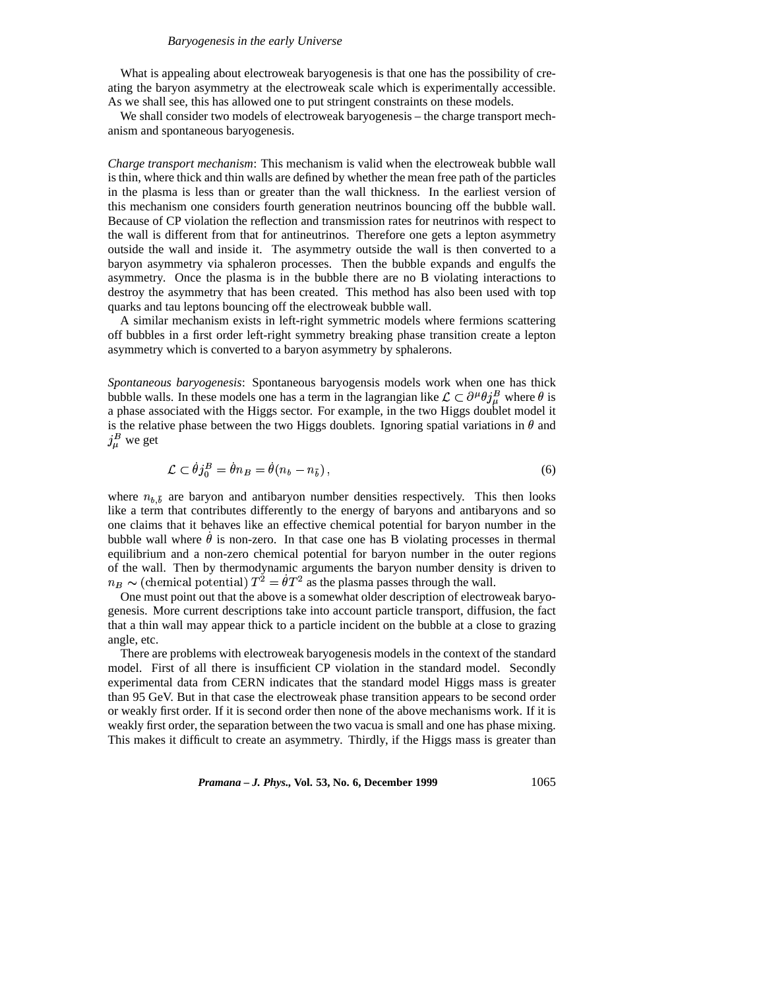#### *Baryogenesis in the early Universe*

What is appealing about electroweak baryogenesis is that one has the possibility of creating the baryon asymmetry at the electroweak scale which is experimentally accessible. As we shall see, this has allowed one to put stringent constraints on these models.

We shall consider two models of electroweak baryogenesis – the charge transport mechanism and spontaneous baryogenesis.

*Charge transport mechanism*: This mechanism is valid when the electroweak bubble wall is thin, where thick and thin walls are defined by whether the mean free path of the particles in the plasma is less than or greater than the wall thickness. In the earliest version of this mechanism one considers fourth generation neutrinos bouncing off the bubble wall. Because of CP violation the reflection and transmission rates for neutrinos with respect to the wall is different from that for antineutrinos. Therefore one gets a lepton asymmetry outside the wall and inside it. The asymmetry outside the wall is then converted to a baryon asymmetry via sphaleron processes. Then the bubble expands and engulfs the asymmetry. Once the plasma is in the bubble there are no B violating interactions to destroy the asymmetry that has been created. This method has also been used with top quarks and tau leptons bouncing off the electroweak bubble wall.

A similar mechanism exists in left-right symmetric models where fermions scattering off bubbles in a first order left-right symmetry breaking phase transition create a lepton asymmetry which is converted to a baryon asymmetry by sphalerons.

*Spontaneous baryogenesis*: Spontaneous baryogensis models work when one has thick bubble walls. In these models one has a term in the lagrangian like  $\mathcal{L} \subset \partial^{\mu} \theta_{j}^{\mu}$  where  $\theta$  is a phase associated with the Higgs sector. For example, in the two Higgs doublet model it is the relative phase between the two Higgs doublets. Ignoring spatial variations in  $\theta$  and  $j_{\mu}^B$  we get

$$
\mathcal{L} \subset \dot{\theta}j_0^B = \dot{\theta}n_B = \dot{\theta}(n_b - n_{\bar{b}}), \qquad (6)
$$

where  $n_{b,\bar{b}}$  are baryon and antibaryon number densities respectively. This then looks like a term that contributes differently to the energy of baryons and antibaryons and so one claims that it behaves like an effective chemical potential for baryon number in the bubble wall where  $\theta$  is non-zero. In that case one has B violating processes in thermal **k** and the set of the set of the set of the set of the set of the set of the set of the set of the set of the set of the set of the set of the set of the set of the set of the set of the set of the set of the set of the s equilibrium and a non-zero chemical potential for baryon number in the outer regions of the wall. Then by thermodynamic arguments the baryon number density is driven to  $n_B \sim$  (chemical potential)  $T^2 = \dot{\theta} T^2$  as the plasma passes through the wall.

One must point out that the above is a somewhat older description of electroweak baryogenesis. More current descriptions take into account particle transport, diffusion, the fact that a thin wall may appear thick to a particle incident on the bubble at a close to grazing angle, etc.

There are problems with electroweak baryogenesis models in the context of the standard model. First of all there is insufficient CP violation in the standard model. Secondly experimental data from CERN indicates that the standard model Higgs mass is greater than 95 GeV. But in that case the electroweak phase transition appears to be second order or weakly first order. If it is second order then none of the above mechanisms work. If it is weakly first order, the separation between the two vacua is small and one has phase mixing. This makes it difficult to create an asymmetry. Thirdly, if the Higgs mass is greater than

*Pramana – J. Phys.,* **Vol. 53, No. 6, December 1999** 1065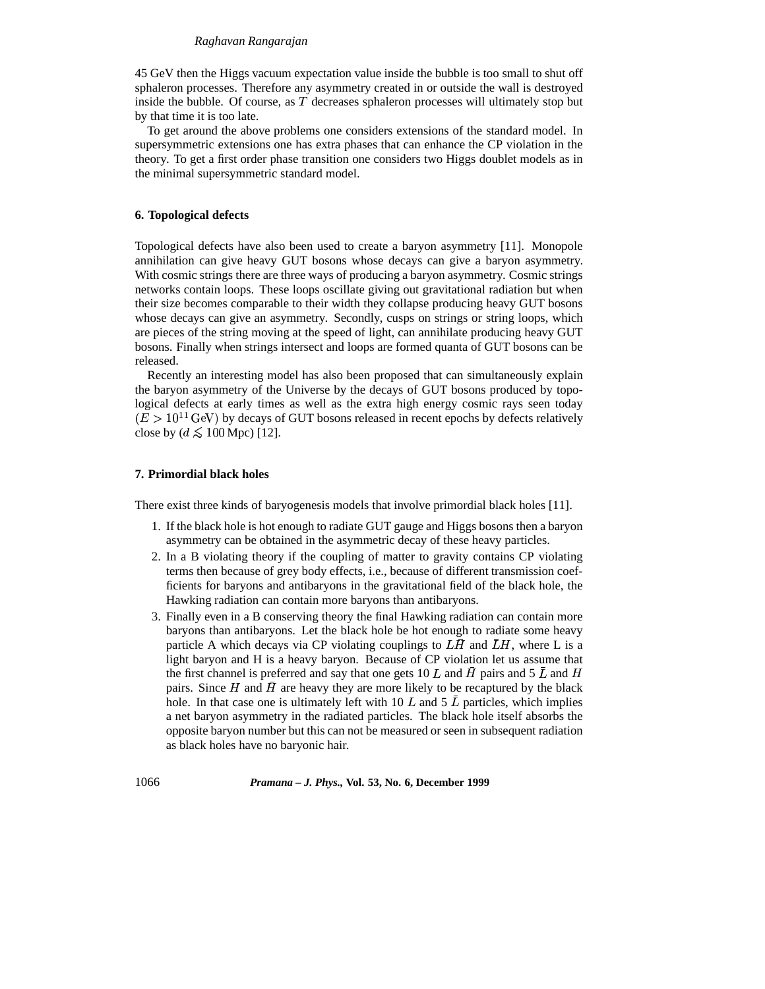#### *Raghavan Rangarajan*

45 GeV then the Higgs vacuum expectation value inside the bubble is too small to shut off sphaleron processes. Therefore any asymmetry created in or outside the wall is destroyed inside the bubble. Of course, as  $T$  decreases sphaleron processes will ultimately stop but by that time it is too late.

To get around the above problems one considers extensions of the standard model. In supersymmetric extensions one has extra phases that can enhance the CP violation in the theory. To get a first order phase transition one considers two Higgs doublet models as in the minimal supersymmetric standard model.

## **6. Topological defects**

Topological defects have also been used to create a baryon asymmetry [11]. Monopole annihilation can give heavy GUT bosons whose decays can give a baryon asymmetry. With cosmic strings there are three ways of producing a baryon asymmetry. Cosmic strings networks contain loops. These loops oscillate giving out gravitational radiation but when their size becomes comparable to their width they collapse producing heavy GUT bosons whose decays can give an asymmetry. Secondly, cusps on strings or string loops, which are pieces of the string moving at the speed of light, can annihilate producing heavy GUT bosons. Finally when strings intersect and loops are formed quanta of GUT bosons can be released.

Recently an interesting model has also been proposed that can simultaneously explain the baryon asymmetry of the Universe by the decays of GUT bosons produced by topological defects at early times as well as the extra high energy cosmic rays seen today  $(E > 10^{11} \text{ GeV})$  by decays of GUT bosons released in recent epochs by defects relatively close by  $(d \leq 100 \text{ Mpc})$  [12].

# **7. Primordial black holes**

There exist three kinds of baryogenesis models that involve primordial black holes [11].

- 1. If the black hole is hot enough to radiate GUT gauge and Higgs bosons then a baryon asymmetry can be obtained in the asymmetric decay of these heavy particles.
- 2. In a B violating theory if the coupling of matter to gravity contains CP violating terms then because of grey body effects, i.e., because of different transmission coefficients for baryons and antibaryons in the gravitational field of the black hole, the Hawking radiation can contain more baryons than antibaryons.
- 3. Finally even in a B conserving theory the final Hawking radiation can contain more baryons than antibaryons. Let the black hole be hot enough to radiate some heavy particle A which decays via CP violating couplings to  $LH$  and  $LH$ , where L is a light baryon and H is a heavy baryon. Because of CP violation let us assume that the first channel is preferred and say that one gets 10 L and H pairs and 5 L and H pairs. Since  $H$  and  $H$  are heavy they are more likely to be recaptured by the black hole. In that case one is ultimately left with 10 L and 5  $\overline{L}$  particles, which implies a net baryon asymmetry in the radiated particles. The black hole itself absorbs the opposite baryon number but this can not be measured or seen in subsequent radiation as black holes have no baryonic hair.